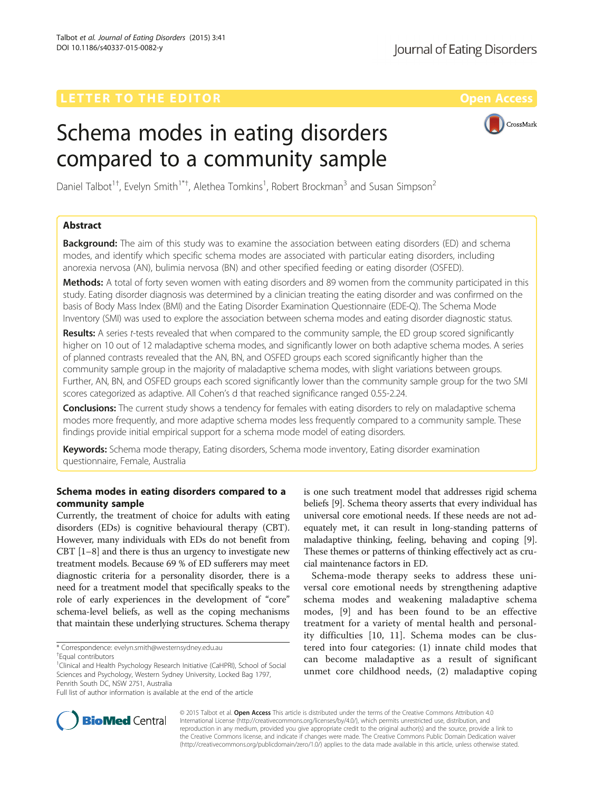CrossMark

# Schema modes in eating disorders compared to a community sample

Daniel Talbot<sup>1†</sup>, Evelyn Smith<sup>1\*†</sup>, Alethea Tomkins<sup>1</sup>, Robert Brockman<sup>3</sup> and Susan Simpson<sup>2</sup>

# Abstract

**Background:** The aim of this study was to examine the association between eating disorders (ED) and schema modes, and identify which specific schema modes are associated with particular eating disorders, including anorexia nervosa (AN), bulimia nervosa (BN) and other specified feeding or eating disorder (OSFED).

Methods: A total of forty seven women with eating disorders and 89 women from the community participated in this study. Eating disorder diagnosis was determined by a clinician treating the eating disorder and was confirmed on the basis of Body Mass Index (BMI) and the Eating Disorder Examination Questionnaire (EDE-Q). The Schema Mode Inventory (SMI) was used to explore the association between schema modes and eating disorder diagnostic status.

Results: A series t-tests revealed that when compared to the community sample, the ED group scored significantly higher on 10 out of 12 maladaptive schema modes, and significantly lower on both adaptive schema modes. A series of planned contrasts revealed that the AN, BN, and OSFED groups each scored significantly higher than the community sample group in the majority of maladaptive schema modes, with slight variations between groups. Further, AN, BN, and OSFED groups each scored significantly lower than the community sample group for the two SMI scores categorized as adaptive. All Cohen's d that reached significance ranged 0.55-2.24.

Conclusions: The current study shows a tendency for females with eating disorders to rely on maladaptive schema modes more frequently, and more adaptive schema modes less frequently compared to a community sample. These findings provide initial empirical support for a schema mode model of eating disorders.

Keywords: Schema mode therapy, Eating disorders, Schema mode inventory, Eating disorder examination questionnaire, Female, Australia

# Schema modes in eating disorders compared to a community sample

Currently, the treatment of choice for adults with eating disorders (EDs) is cognitive behavioural therapy (CBT). However, many individuals with EDs do not benefit from CBT [\[1](#page-3-0)–[8\]](#page-3-0) and there is thus an urgency to investigate new treatment models. Because 69 % of ED sufferers may meet diagnostic criteria for a personality disorder, there is a need for a treatment model that specifically speaks to the role of early experiences in the development of "core" schema-level beliefs, as well as the coping mechanisms that maintain these underlying structures. Schema therapy

\* Correspondence: [evelyn.smith@westernsydney.edu.au](mailto:evelyn.smith@westernsydney.edu.au) †



Schema-mode therapy seeks to address these universal core emotional needs by strengthening adaptive schema modes and weakening maladaptive schema modes, [[9\]](#page-3-0) and has been found to be an effective treatment for a variety of mental health and personality difficulties [[10](#page-3-0), [11\]](#page-3-0). Schema modes can be clustered into four categories: (1) innate child modes that can become maladaptive as a result of significant unmet core childhood needs, (2) maladaptive coping



© 2015 Talbot et al. Open Access This article is distributed under the terms of the Creative Commons Attribution 4.0 International License [\(http://creativecommons.org/licenses/by/4.0/](http://creativecommons.org/licenses/by/4.0/)), which permits unrestricted use, distribution, and reproduction in any medium, provided you give appropriate credit to the original author(s) and the source, provide a link to the Creative Commons license, and indicate if changes were made. The Creative Commons Public Domain Dedication waiver [\(http://creativecommons.org/publicdomain/zero/1.0/](http://creativecommons.org/publicdomain/zero/1.0/)) applies to the data made available in this article, unless otherwise stated.

Equal contributors

<sup>&</sup>lt;sup>1</sup>Clinical and Health Psychology Research Initiative (CaHPRI), School of Social Sciences and Psychology, Western Sydney University, Locked Bag 1797, Penrith South DC, NSW 2751, Australia

Full list of author information is available at the end of the article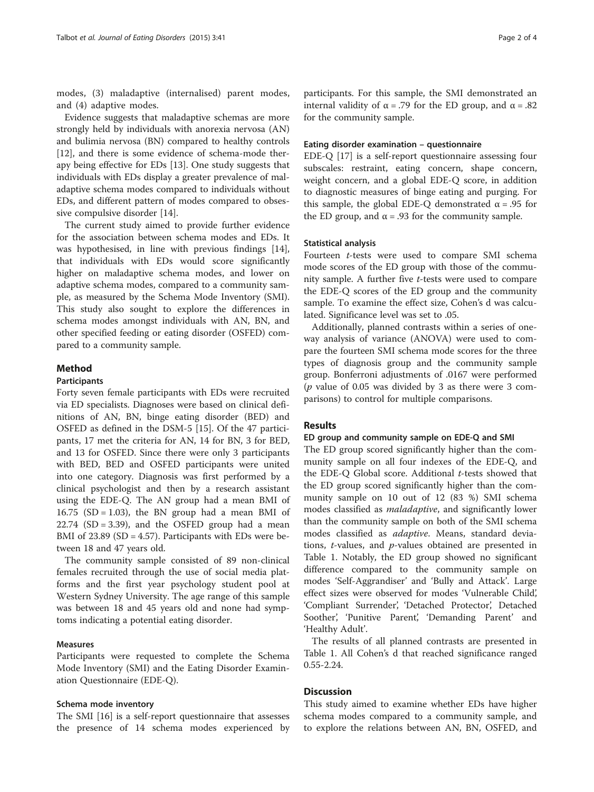modes, (3) maladaptive (internalised) parent modes, and (4) adaptive modes.

Evidence suggests that maladaptive schemas are more strongly held by individuals with anorexia nervosa (AN) and bulimia nervosa (BN) compared to healthy controls [[12\]](#page-3-0), and there is some evidence of schema-mode therapy being effective for EDs [[13](#page-3-0)]. One study suggests that individuals with EDs display a greater prevalence of maladaptive schema modes compared to individuals without EDs, and different pattern of modes compared to obsessive compulsive disorder [[14](#page-3-0)].

The current study aimed to provide further evidence for the association between schema modes and EDs. It was hypothesised, in line with previous findings [\[14](#page-3-0)], that individuals with EDs would score significantly higher on maladaptive schema modes, and lower on adaptive schema modes, compared to a community sample, as measured by the Schema Mode Inventory (SMI). This study also sought to explore the differences in schema modes amongst individuals with AN, BN, and other specified feeding or eating disorder (OSFED) compared to a community sample.

## Method

# Participants

Forty seven female participants with EDs were recruited via ED specialists. Diagnoses were based on clinical definitions of AN, BN, binge eating disorder (BED) and OSFED as defined in the DSM-5 [\[15](#page-3-0)]. Of the 47 participants, 17 met the criteria for AN, 14 for BN, 3 for BED, and 13 for OSFED. Since there were only 3 participants with BED, BED and OSFED participants were united into one category. Diagnosis was first performed by a clinical psychologist and then by a research assistant using the EDE-Q. The AN group had a mean BMI of 16.75 (SD = 1.03), the BN group had a mean BMI of  $22.74$  (SD = 3.39), and the OSFED group had a mean BMI of  $23.89$  (SD = 4.57). Participants with EDs were between 18 and 47 years old.

The community sample consisted of 89 non-clinical females recruited through the use of social media platforms and the first year psychology student pool at Western Sydney University. The age range of this sample was between 18 and 45 years old and none had symptoms indicating a potential eating disorder.

# Measures

Participants were requested to complete the Schema Mode Inventory (SMI) and the Eating Disorder Examination Questionnaire (EDE-Q).

#### Schema mode inventory

The SMI [\[16](#page-3-0)] is a self-report questionnaire that assesses the presence of 14 schema modes experienced by

participants. For this sample, the SMI demonstrated an internal validity of  $\alpha$  = .79 for the ED group, and  $\alpha$  = .82 for the community sample.

#### Eating disorder examination – questionnaire

EDE-Q [[17\]](#page-3-0) is a self-report questionnaire assessing four subscales: restraint, eating concern, shape concern, weight concern, and a global EDE-Q score, in addition to diagnostic measures of binge eating and purging. For this sample, the global EDE-Q demonstrated  $\alpha = .95$  for the ED group, and  $α = .93$  for the community sample.

# Statistical analysis

Fourteen t-tests were used to compare SMI schema mode scores of the ED group with those of the community sample. A further five t-tests were used to compare the EDE-Q scores of the ED group and the community sample. To examine the effect size, Cohen's d was calculated. Significance level was set to .05.

Additionally, planned contrasts within a series of oneway analysis of variance (ANOVA) were used to compare the fourteen SMI schema mode scores for the three types of diagnosis group and the community sample group. Bonferroni adjustments of .0167 were performed ( $p$  value of 0.05 was divided by 3 as there were 3 comparisons) to control for multiple comparisons.

## Results

#### ED group and community sample on EDE-Q and SMI

The ED group scored significantly higher than the community sample on all four indexes of the EDE-Q, and the EDE-Q Global score. Additional  $t$ -tests showed that the ED group scored significantly higher than the community sample on 10 out of 12 (83 %) SMI schema modes classified as maladaptive, and significantly lower than the community sample on both of the SMI schema modes classified as *adaptive*. Means, standard deviations, t-values, and p-values obtained are presented in Table [1](#page-2-0). Notably, the ED group showed no significant difference compared to the community sample on modes 'Self-Aggrandiser' and 'Bully and Attack'. Large effect sizes were observed for modes 'Vulnerable Child', 'Compliant Surrender', 'Detached Protector', Detached Soother', 'Punitive Parent', 'Demanding Parent' and 'Healthy Adult'.

The results of all planned contrasts are presented in Table [1.](#page-2-0) All Cohen's d that reached significance ranged 0.55-2.24.

# **Discussion**

This study aimed to examine whether EDs have higher schema modes compared to a community sample, and to explore the relations between AN, BN, OSFED, and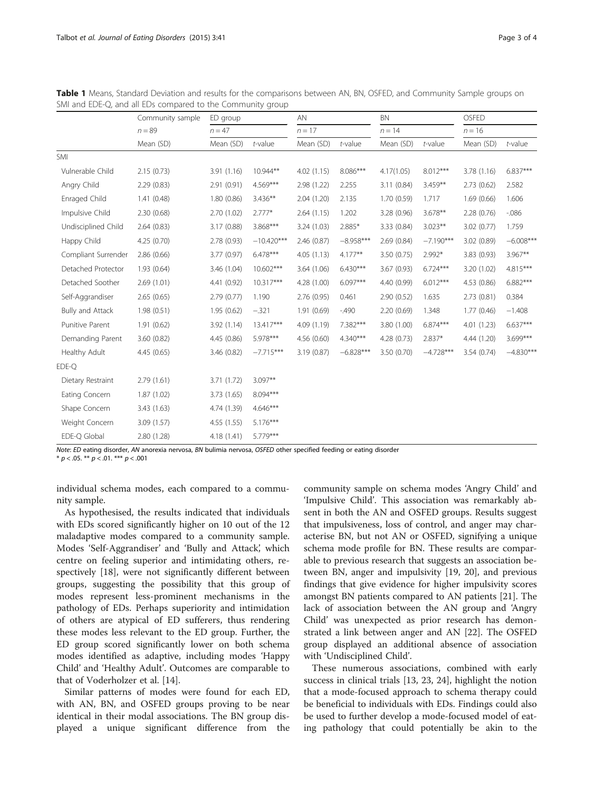|                     | Community sample<br>$n = 89$<br>Mean (SD) | ED group<br>$n = 47$ |              | AN<br>$n = 17$ |             | <b>BN</b><br>$n = 14$ |             | OSFED<br>$n = 16$ |             |
|---------------------|-------------------------------------------|----------------------|--------------|----------------|-------------|-----------------------|-------------|-------------------|-------------|
|                     |                                           |                      |              |                |             |                       |             |                   |             |
|                     |                                           | Mean (SD)            | $t$ -value   | Mean (SD)      | $t$ -value  | Mean (SD)             | $t$ -value  | Mean (SD)         | $t$ -value  |
| SMI                 |                                           |                      |              |                |             |                       |             |                   |             |
| Vulnerable Child    | 2.15(0.73)                                | 3.91(1.16)           | $10.944**$   | 4.02(1.15)     | 8.086***    | 4.17(1.05)            | $8.012***$  | 3.78 (1.16)       | 6.837***    |
| Angry Child         | 2.29(0.83)                                | 2.91(0.91)           | $4.569***$   | 2.98 (1.22)    | 2.255       | 3.11(0.84)            | $3.459**$   | 2.73(0.62)        | 2.582       |
| Enraged Child       | 1.41(0.48)                                | 1.80(0.86)           | $3.436***$   | 2.04(1.20)     | 2.135       | 1.70(0.59)            | 1.717       | 1.69(0.66)        | 1.606       |
| Impulsive Child     | 2.30(0.68)                                | 2.70 (1.02)          | $2.777*$     | 2.64(1.15)     | 1.202       | 3.28 (0.96)           | $3.678**$   | 2.28(0.76)        | $-0.086$    |
| Undisciplined Child | 2.64(0.83)                                | 3.17(0.88)           | $3.868***$   | 3.24(1.03)     | 2.885*      | 3.33 (0.84)           | $3.023**$   | 3.02 (0.77)       | 1.759       |
| Happy Child         | 4.25(0.70)                                | 2.78 (0.93)          | $-10.420***$ | 2.46(0.87)     | $-8.958***$ | 2.69(0.84)            | $-7.190***$ | 3.02(0.89)        | $-6.008***$ |
| Compliant Surrender | 2.86(0.66)                                | 3.77(0.97)           | $6.478***$   | 4.05(1.13)     | $4.177**$   | 3.50(0.75)            | 2.992*      | 3.83 (0.93)       | $3.967**$   |
| Detached Protector  | 1.93(0.64)                                | 3.46 (1.04)          | 10.602***    | 3.64(1.06)     | $6.430***$  | 3.67(0.93)            | $6.724***$  | 3.20 (1.02)       | $4.815***$  |
| Detached Soother    | 2.69(1.01)                                | 4.41 (0.92)          | $10.317***$  | 4.28 (1.00)    | $6.097***$  | 4.40 (0.99)           | $6.012***$  | 4.53 (0.86)       | $6.882***$  |
| Self-Aggrandiser    | 2.65(0.65)                                | 2.79(0.77)           | 1.190        | 2.76(0.95)     | 0.461       | 2.90(0.52)            | 1.635       | 2.73(0.81)        | 0.384       |
| Bully and Attack    | 1.98(0.51)                                | 1.95(0.62)           | $-.321$      | 1.91(0.69)     | $-490$      | 2.20(0.69)            | 1.348       | 1.77(0.46)        | $-1.408$    |
| Punitive Parent     | 1.91(0.62)                                | 3.92 (1.14)          | 13.417***    | 4.09 (1.19)    | 7.382***    | 3.80 (1.00)           | $6.874***$  | 4.01 (1.23)       | $6.637***$  |
| Demanding Parent    | 3.60 (0.82)                               | 4.45 (0.86)          | 5.978***     | 4.56(0.60)     | 4.340***    | 4.28(0.73)            | $2.837*$    | 4.44 (1.20)       | 3.699***    |
| Healthy Adult       | 4.45(0.65)                                | 3.46 (0.82)          | $-7.715***$  | 3.19(0.87)     | $-6.828***$ | 3.50 (0.70)           | $-4.728***$ | 3.54(0.74)        | $-4.830***$ |
| EDE-Q               |                                           |                      |              |                |             |                       |             |                   |             |
| Dietary Restraint   | 2.79(1.61)                                | 3.71 (1.72)          | $3.097**$    |                |             |                       |             |                   |             |
| Eating Concern      | 1.87(1.02)                                | 3.73 (1.65)          | 8.094***     |                |             |                       |             |                   |             |
| Shape Concern       | 3.43(1.63)                                | 4.74 (1.39)          | $4.646***$   |                |             |                       |             |                   |             |
| Weight Concern      | 3.09(1.57)                                | 4.55 (1.55)          | $5.176***$   |                |             |                       |             |                   |             |
| EDE-Q Global        | 2.80(1.28)                                | 4.18 (1.41)          | 5.779***     |                |             |                       |             |                   |             |

<span id="page-2-0"></span>Table 1 Means, Standard Deviation and results for the comparisons between AN, BN, OSFED, and Community Sample groups on SMI and EDE-Q, and all EDs compared to the Community group

Note: ED eating disorder, AN anorexia nervosa, BN bulimia nervosa, OSFED other specified feeding or eating disorder

 $* p < .05$ . \*\*  $p < .01$ . \*\*\*  $p < .001$ 

individual schema modes, each compared to a community sample.

As hypothesised, the results indicated that individuals with EDs scored significantly higher on 10 out of the 12 maladaptive modes compared to a community sample. Modes 'Self-Aggrandiser' and 'Bully and Attack', which centre on feeling superior and intimidating others, respectively [[18](#page-3-0)], were not significantly different between groups, suggesting the possibility that this group of modes represent less-prominent mechanisms in the pathology of EDs. Perhaps superiority and intimidation of others are atypical of ED sufferers, thus rendering these modes less relevant to the ED group. Further, the ED group scored significantly lower on both schema modes identified as adaptive, including modes 'Happy Child' and 'Healthy Adult'. Outcomes are comparable to that of Voderholzer et al. [[14\]](#page-3-0).

Similar patterns of modes were found for each ED, with AN, BN, and OSFED groups proving to be near identical in their modal associations. The BN group displayed a unique significant difference from the

community sample on schema modes 'Angry Child' and 'Impulsive Child'. This association was remarkably absent in both the AN and OSFED groups. Results suggest that impulsiveness, loss of control, and anger may characterise BN, but not AN or OSFED, signifying a unique schema mode profile for BN. These results are comparable to previous research that suggests an association between BN, anger and impulsivity [[19, 20\]](#page-3-0), and previous findings that give evidence for higher impulsivity scores amongst BN patients compared to AN patients [\[21](#page-3-0)]. The lack of association between the AN group and 'Angry Child' was unexpected as prior research has demonstrated a link between anger and AN [[22\]](#page-3-0). The OSFED group displayed an additional absence of association with 'Undisciplined Child'.

These numerous associations, combined with early success in clinical trials [[13](#page-3-0), [23, 24\]](#page-3-0), highlight the notion that a mode-focused approach to schema therapy could be beneficial to individuals with EDs. Findings could also be used to further develop a mode-focused model of eating pathology that could potentially be akin to the